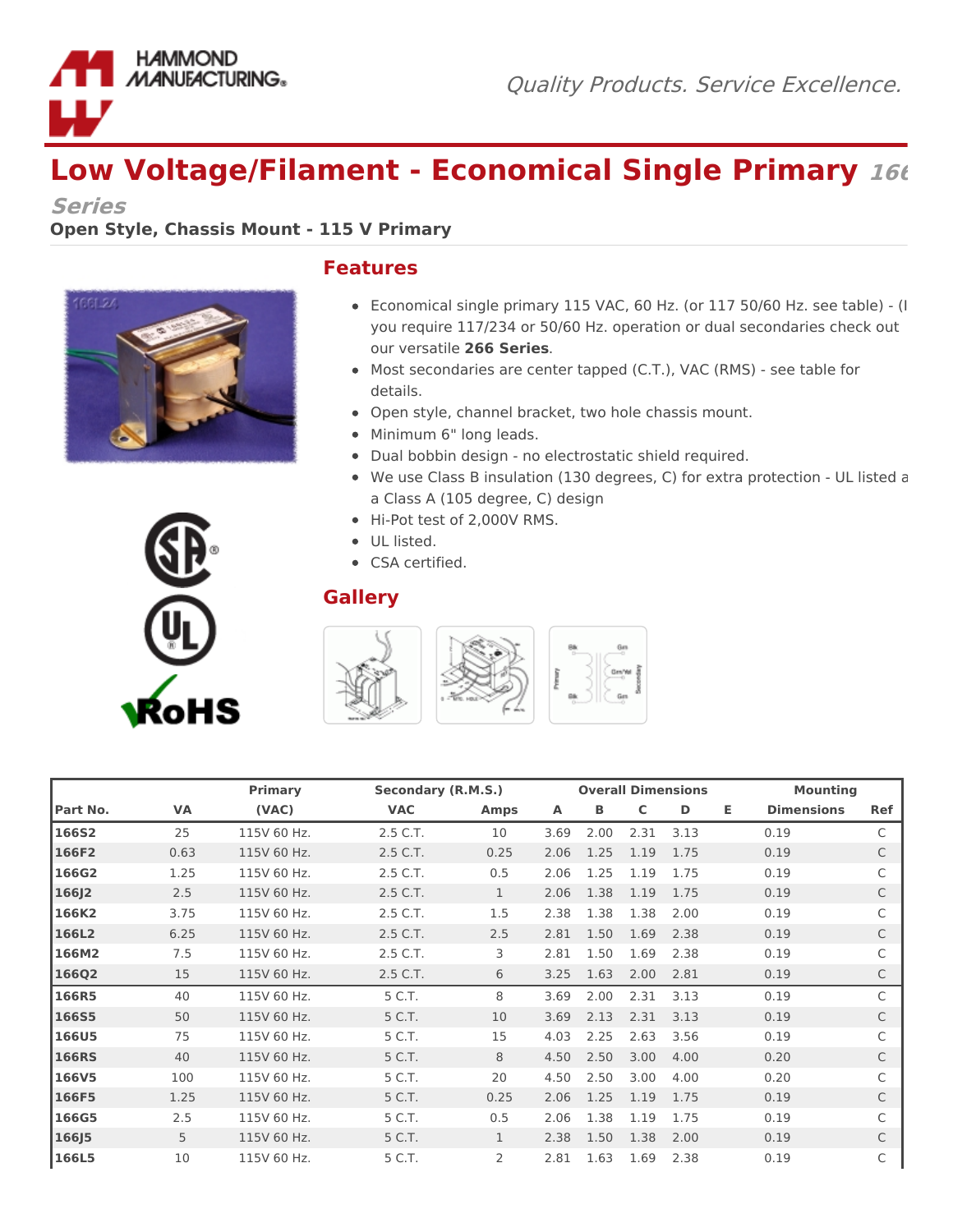

## **Low Voltage/Filament - Economical Single Primary <sup>166</sup>**

**Series**

## **Open Style, Chassis Mount - 115 V Primary**





## **Features**

- Economical single primary 115 VAC, 60 Hz. (or 117 50/60 Hz. see table) (If you require 117/234 or 50/60 Hz. operation or dual secondaries check out our versatile **266 Series**.
- Most secondaries are center tapped (C.T.), VAC (RMS) see table for details.
- Open style, channel bracket, two hole chassis mount.
- Minimum 6" long leads.
- Dual bobbin design no electrostatic shield required.
- We use Class B insulation (130 degrees, C) for extra protection UL listed as a Class A (105 degree, C) design
- Hi-Pot test of 2,000V RMS.
- UL listed.
- CSA certified.

## **Gallery**



|              |      | Primary     | Secondary (R.M.S.) |              | <b>Overall Dimensions</b> |      |      |      | <b>Mounting</b> |                   |            |
|--------------|------|-------------|--------------------|--------------|---------------------------|------|------|------|-----------------|-------------------|------------|
| Part No.     | VA   | (VAC)       | <b>VAC</b>         | <b>Amps</b>  | Α                         | В    | C    | D    | Е.              | <b>Dimensions</b> | <b>Ref</b> |
| <b>166S2</b> | 25   | 115V 60 Hz. | 2.5 C.T.           | 10           | 3.69                      | 2.00 | 2.31 | 3.13 |                 | 0.19              | C          |
| 166F2        | 0.63 | 115V 60 Hz. | 2.5 C.T.           | 0.25         | 2.06                      | 1.25 | 1.19 | 1.75 |                 | 0.19              | C          |
| 166G2        | 1.25 | 115V 60 Hz. | 2.5 C.T.           | 0.5          | 2.06                      | 1.25 | 1.19 | 1.75 |                 | 0.19              |            |
| 166J2        | 2.5  | 115V 60 Hz. | 2.5 C.T.           | $\mathbf{1}$ | 2.06                      | 1.38 | 1.19 | 1.75 |                 | 0.19              |            |
| 166K2        | 3.75 | 115V 60 Hz. | 2.5 C.T.           | 1.5          | 2.38                      | 1.38 | 1.38 | 2.00 |                 | 0.19              |            |
| 166L2        | 6.25 | 115V 60 Hz. | 2.5 C.T.           | 2.5          | 2.81                      | 1.50 | 1.69 | 2.38 |                 | 0.19              | C          |
| 166M2        | 7.5  | 115V 60 Hz. | 2.5 C.T.           | 3            | 2.81                      | 1.50 | 1.69 | 2.38 |                 | 0.19              |            |
| <b>166Q2</b> | 15   | 115V 60 Hz. | 2.5 C.T.           | 6            | 3.25                      | 1.63 | 2.00 | 2.81 |                 | 0.19              | C          |
| 166R5        | 40   | 115V 60 Hz. | 5 C.T.             | 8            | 3.69                      | 2.00 | 2.31 | 3.13 |                 | 0.19              | C          |
| <b>166S5</b> | 50   | 115V 60 Hz. | 5 C.T.             | 10           | 3.69                      | 2.13 | 2.31 | 3.13 |                 | 0.19              | C          |
| <b>166U5</b> | 75   | 115V 60 Hz. | 5 C.T.             | 15           | 4.03                      | 2.25 | 2.63 | 3.56 |                 | 0.19              |            |
| <b>166RS</b> | 40   | 115V 60 Hz. | 5 C.T.             | 8            | 4.50                      | 2.50 | 3.00 | 4.00 |                 | 0.20              | C          |
| <b>166V5</b> | 100  | 115V 60 Hz. | 5 C.T.             | 20           | 4.50                      | 2.50 | 3.00 | 4.00 |                 | 0.20              |            |
| 166F5        | 1.25 | 115V 60 Hz. | 5 C.T.             | 0.25         | 2.06                      | 1.25 | 1.19 | 1.75 |                 | 0.19              | C          |
| 166G5        | 2.5  | 115V 60 Hz. | 5 C.T.             | 0.5          | 2.06                      | 1.38 | 1.19 | 1.75 |                 | 0.19              |            |
| 166J5        | 5    | 115V 60 Hz. | 5 C.T.             | $\mathbf{1}$ | 2.38                      | 1.50 | 1.38 | 2.00 |                 | 0.19              | C          |
| <b>166L5</b> | 10   | 115V 60 Hz. | 5 C.T.             | 2            | 2.81                      | 1.63 | 1.69 | 2.38 |                 | 0.19              |            |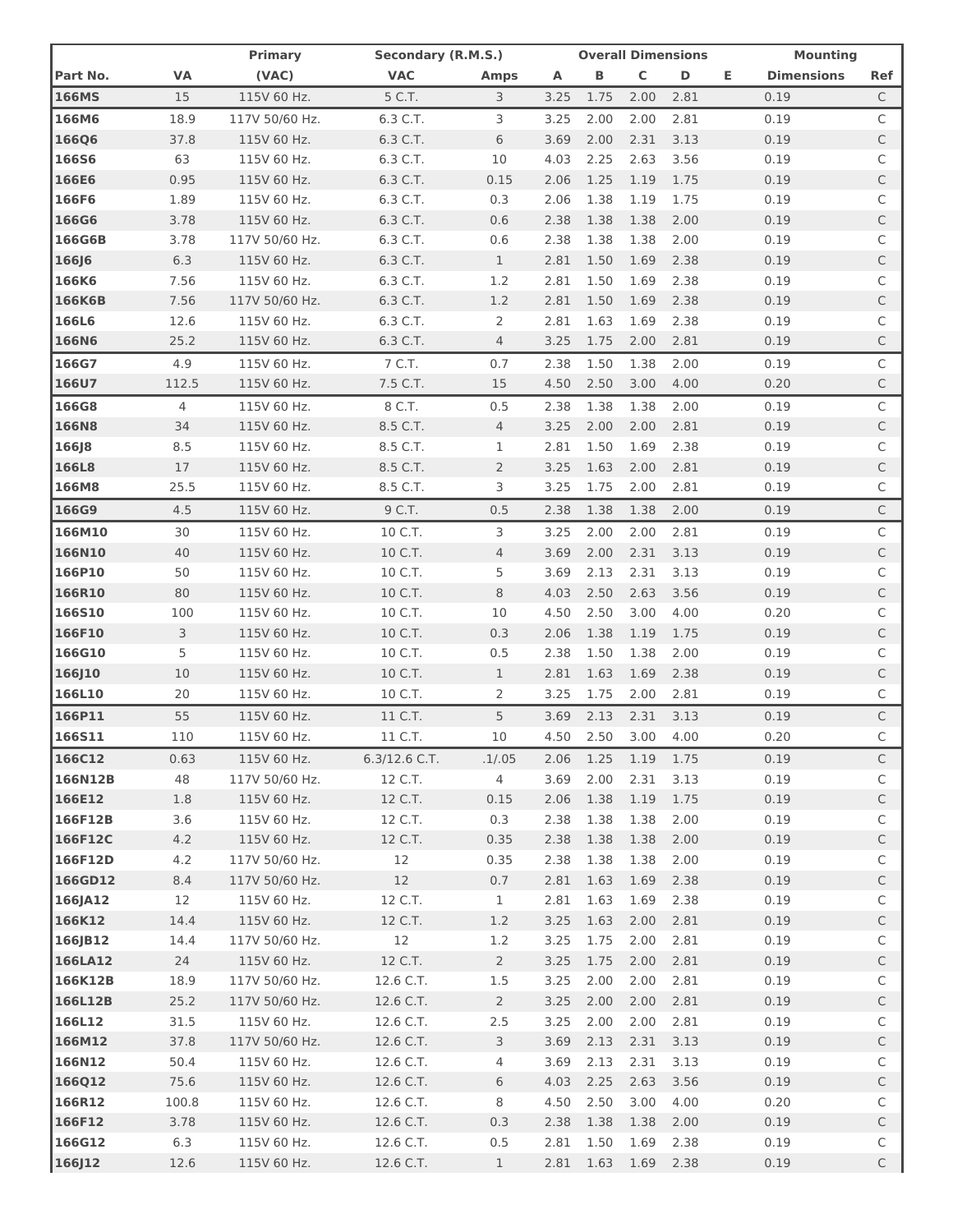|                  |              | Primary                    | Secondary (R.M.S.)     |                | <b>Overall Dimensions</b> |              |              | <b>Mounting</b> |    |                   |                   |
|------------------|--------------|----------------------------|------------------------|----------------|---------------------------|--------------|--------------|-----------------|----|-------------------|-------------------|
| Part No.         | VA           | (VAC)                      | <b>VAC</b>             | <b>Amps</b>    | Α                         | В            | $\mathsf C$  | D               | Е. | <b>Dimensions</b> | Ref               |
| <b>166MS</b>     | 15           | 115V 60 Hz.                | 5 C.T.                 | 3              | 3.25                      | 1.75         | 2.00         | 2.81            |    | 0.19              | C                 |
| 166M6            | 18.9         | 117V 50/60 Hz.             | 6.3 C.T.               | 3              | 3.25                      | 2.00         | 2.00         | 2.81            |    | 0.19              | C                 |
| <b>166Q6</b>     | 37.8         | 115V 60 Hz.                | 6.3 C.T.               | 6              | 3.69                      | 2.00         | 2.31         | 3.13            |    | 0.19              | C                 |
| <b>166S6</b>     | 63           | 115V 60 Hz.                | 6.3 C.T.               | 10             | 4.03                      | 2.25         | 2.63         | 3.56            |    | 0.19              | C                 |
| 166E6            | 0.95         | 115V 60 Hz.                | 6.3 C.T.               | 0.15           | 2.06                      | 1.25         | 1.19         | 1.75            |    | 0.19              | $\mathsf{C}$      |
| 166F6            | 1.89         | 115V 60 Hz.                | 6.3 C.T.               | 0.3            | 2.06                      | 1.38         | 1.19         | 1.75            |    | 0.19              | C                 |
| <b>166G6</b>     | 3.78         | 115V 60 Hz.                | 6.3 C.T.               | 0.6            | 2.38                      | 1.38         | 1.38         | 2.00            |    | 0.19              | C                 |
| 166G6B           | 3.78         | 117V 50/60 Hz.             | 6.3 C.T.               | 0.6            | 2.38                      | 1.38         | 1.38         | 2.00            |    | 0.19              | C                 |
| <b>166J6</b>     | 6.3          | 115V 60 Hz.                | 6.3 C.T.               | $\mathbf{1}$   | 2.81                      | 1.50         | 1.69         | 2.38            |    | 0.19              | C                 |
| 166K6            | 7.56         | 115V 60 Hz.                | 6.3 C.T.               | 1.2            | 2.81                      | 1.50         | 1.69         | 2.38            |    | 0.19              | C                 |
| 166K6B           | 7.56         | 117V 50/60 Hz.             | 6.3 C.T.               | 1.2            | 2.81                      | 1.50         | 1.69         | 2.38            |    | 0.19              | C                 |
| 166L6            | 12.6         | 115V 60 Hz.                | 6.3 C.T.               | 2              | 2.81                      | 1.63         | 1.69         | 2.38            |    | 0.19              | C                 |
| <b>166N6</b>     | 25.2         | 115V 60 Hz.                | 6.3 C.T.               | 4              | 3.25                      | 1.75         | 2.00         | 2.81            |    | 0.19              | C                 |
| 166G7            | 4.9          | 115V 60 Hz.                | 7 C.T.                 | 0.7            | 2.38                      | 1.50         | 1.38         | 2.00            |    | 0.19              | C                 |
| 166U7            | 112.5        | 115V 60 Hz.                | 7.5 C.T.               | 15             | 4.50                      | 2.50         | 3.00         | 4.00            |    | 0.20              | C                 |
| 166G8            | 4            | 115V 60 Hz.                | 8 C.T.                 | 0.5            | 2.38                      | 1.38         | 1.38         | 2.00            |    | 0.19              | C                 |
| <b>166N8</b>     | 34           | 115V 60 Hz.                | 8.5 C.T.               | 4              | 3.25                      | 2.00         | 2.00         | 2.81            |    | 0.19              | С                 |
| <b>166J8</b>     | 8.5          | 115V 60 Hz.                | 8.5 C.T.               | 1              | 2.81                      | 1.50         | 1.69         | 2.38            |    | 0.19              | C                 |
| 166L8            | 17           | 115V 60 Hz.                | 8.5 C.T.               | $\overline{2}$ | 3.25                      | 1.63         | 2.00         | 2.81            |    | 0.19              | C                 |
| 166M8            | 25.5         | 115V 60 Hz.                | 8.5 C.T.               | 3              | 3.25                      | 1.75         | 2.00         | 2.81            |    | 0.19              | С                 |
| 166G9            | 4.5          | 115V 60 Hz.                | 9 C.T.                 | 0.5            | 2.38                      | 1.38         | 1.38         | 2.00            |    | 0.19              | C                 |
| 166M10           | 30           | 115V 60 Hz.                | 10 C.T.                | 3              | 3.25                      | 2.00         | 2.00         | 2.81            |    | 0.19              | C                 |
| 166N10           | 40           | 115V 60 Hz.                | 10 C.T.                | 4              | 3.69                      | 2.00         | 2.31         | 3.13            |    | 0.19              | $\mathsf{C}$      |
| 166P10           | 50           | 115V 60 Hz.                | 10 C.T.                | 5              | 3.69                      | 2.13         | 2.31         | 3.13            |    | 0.19              | C                 |
| 166R10           | 80           | 115V 60 Hz.                | 10 C.T.                | 8              | 4.03                      | 2.50         | 2.63         | 3.56            |    | 0.19              | C                 |
| <b>166S10</b>    | 100          | 115V 60 Hz.                | 10 C.T.                | 10             | 4.50                      | 2.50         | 3.00         | 4.00            |    | 0.20              | C                 |
| 166F10           | 3            | 115V 60 Hz.                | 10 C.T.                | 0.3            | 2.06                      | 1.38         | 1.19         | 1.75            |    | 0.19              | C                 |
| 166G10           | 5            | 115V 60 Hz.                | 10 C.T.                | 0.5            | 2.38                      | 1.50         | 1.38         | 2.00            |    | 0.19              | C                 |
| 166J10           | 10           | 115V 60 Hz.                | 10 C.T.                | $\mathbf{1}$   | 2.81                      | 1.63         | 1.69         | 2.38            |    | 0.19              | С                 |
| 166L10           | 20           | 115V 60 Hz.                | 10 C.T.                | 2              | 3.25                      | 1.75         | 2.00         | 2.81            |    | 0.19              | С                 |
| 166P11           | 55           | 115V 60 Hz.                | 11 C.T.                | 5              | 3.69                      | 2.13         | 2.31         | 3.13            |    | 0.19              | C                 |
| 166S11           | 110          | 115V 60 Hz.                | 11 C.T.                | 10             | 4.50                      | 2.50         | 3.00         | 4.00            |    | 0.20              | C                 |
| 166C12           | 0.63         | 115V 60 Hz.                | $6.3/12.6$ C.T.        | .1/0.05        | 2.06                      | 1.25         | 1.19         | 1.75            |    | 0.19              | C                 |
| 166N12B          | 48           | 117V 50/60 Hz.             | 12 C.T.                | $\overline{4}$ | 3.69                      | 2.00         | 2.31         | 3.13            |    | 0.19              | С                 |
| 166E12           | 1.8          | 115V 60 Hz.                | 12 C.T.                | 0.15           | 2.06                      | 1.38         | 1.19         | 1.75            |    | 0.19              | $\mathsf C$       |
| 166F12B          | 3.6          | 115V 60 Hz.                | 12 C.T.                | 0.3            | 2.38                      | 1.38         | 1.38         | 2.00            |    | 0.19              | C                 |
| 166F12C          | 4.2          | 115V 60 Hz.                | 12 C.T.                | 0.35           | 2.38                      | 1.38         | 1.38         | 2.00            |    | 0.19              | $\mathsf C$       |
| 166F12D          | 4.2          | 117V 50/60 Hz.             | 12                     | 0.35           | 2.38                      | 1.38         | 1.38         | 2.00            |    | 0.19              | C                 |
| 166GD12          | 8.4          | 117V 50/60 Hz.             | 12                     | 0.7            | 2.81                      | 1.63         | 1.69         | 2.38            |    | 0.19              | $\mathsf{C}$      |
| 166JA12          | 12           | 115V 60 Hz.                | 12 C.T.                | $\mathbf{1}$   | 2.81                      | 1.63         | 1.69         | 2.38            |    | 0.19              | C                 |
| 166K12           | 14.4         | 115V 60 Hz.                | 12 C.T.                | 1.2            | 3.25                      | 1.63         | 2.00         | 2.81            |    | 0.19              | $\mathsf{C}$      |
| 166JB12          | 14.4         | 117V 50/60 Hz.             | 12                     | 1.2            | 3.25                      | 1.75         | 2.00         | 2.81            |    | 0.19              | C                 |
| 166LA12          | 24           | 115V 60 Hz.                | 12 C.T.                | $\overline{2}$ | 3.25                      | 1.75         | 2.00         | 2.81            |    | 0.19              | $\mathsf{C}$      |
| 166K12B          | 18.9         | 117V 50/60 Hz.             | 12.6 C.T.              | 1.5            | 3.25                      | 2.00         | 2.00         | 2.81            |    | 0.19              | С                 |
| 166L12B          | 25.2         | 117V 50/60 Hz.             | 12.6 C.T.              | $\overline{2}$ | 3.25                      | 2.00         | 2.00         | 2.81            |    | 0.19              | $\mathsf{C}$      |
| 166L12           | 31.5         | 115V 60 Hz.                | 12.6 C.T.              | 2.5            | 3.25                      | 2.00         | 2.00         | 2.81            |    | 0.19              | С                 |
| 166M12           | 37.8         | 117V 50/60 Hz.             | 12.6 C.T.              | 3              | 3.69                      | 2.13         | 2.31         | 3.13            |    | 0.19              | $\mathsf C$       |
| 166N12           | 50.4<br>75.6 | 115V 60 Hz.                | 12.6 C.T.              | 4<br>6         | 3.69                      | 2.13         | 2.31         | 3.13<br>3.56    |    | 0.19<br>0.19      | С                 |
| 166Q12<br>166R12 | 100.8        | 115V 60 Hz.<br>115V 60 Hz. | 12.6 C.T.<br>12.6 C.T. | 8              | 4.03<br>4.50              | 2.25<br>2.50 | 2.63<br>3.00 | 4.00            |    | 0.20              | $\mathsf{C}$<br>C |
| 166F12           | 3.78         | 115V 60 Hz.                | 12.6 C.T.              | 0.3            | 2.38                      | 1.38         | 1.38         | 2.00            |    | 0.19              | $\mathsf{C}$      |
| 166G12           | 6.3          | 115V 60 Hz.                | 12.6 C.T.              | 0.5            | 2.81                      | 1.50         | 1.69         | 2.38            |    | 0.19              | C                 |
| 166J12           | 12.6         | 115V 60 Hz.                | 12.6 C.T.              | $\mathbf{1}$   | 2.81                      | 1.63         | 1.69         | 2.38            |    | 0.19              | $\mathsf C$       |
|                  |              |                            |                        |                |                           |              |              |                 |    |                   |                   |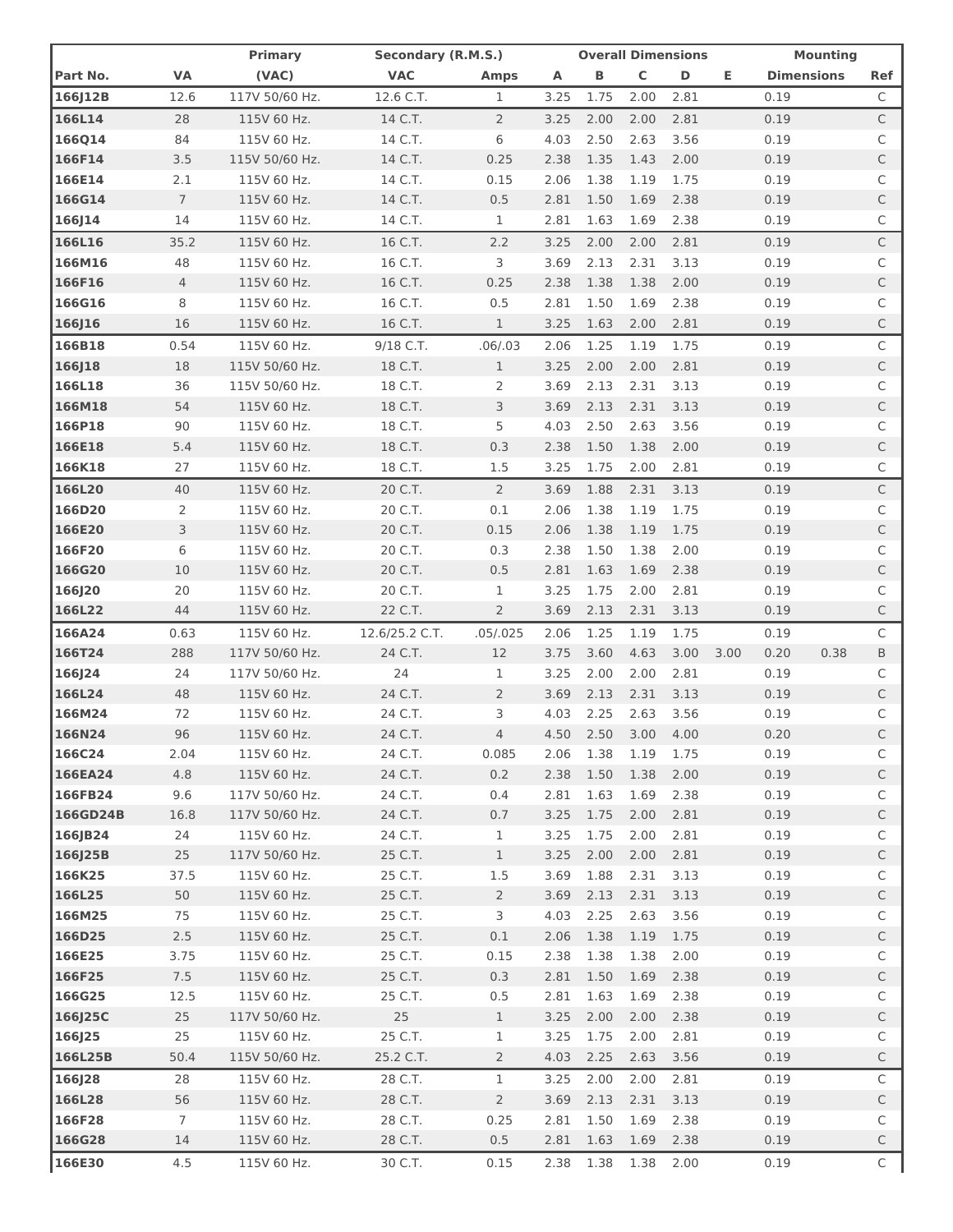|          |                | <b>Primary</b> | Secondary (R.M.S.) |                | <b>Overall Dimensions</b> |      |              |      |      | <b>Mounting</b>   |      |              |
|----------|----------------|----------------|--------------------|----------------|---------------------------|------|--------------|------|------|-------------------|------|--------------|
| Part No. | <b>VA</b>      | (VAC)          | <b>VAC</b>         | <b>Amps</b>    | Α                         | В    | $\mathsf{C}$ | D    | Е.   | <b>Dimensions</b> |      | Ref          |
| 166J12B  | 12.6           | 117V 50/60 Hz. | 12.6 C.T.          | 1              | 3.25                      | 1.75 | 2.00         | 2.81 |      | 0.19              |      | C            |
| 166L14   | 28             | 115V 60 Hz.    | 14 C.T.            | $\overline{2}$ | 3.25                      | 2.00 | 2.00         | 2.81 |      | 0.19              |      | C            |
| 166Q14   | 84             | 115V 60 Hz.    | 14 C.T.            | 6              | 4.03                      | 2.50 | 2.63         | 3.56 |      | 0.19              |      | C            |
| 166F14   | 3.5            | 115V 50/60 Hz. | 14 C.T.            | 0.25           | 2.38                      | 1.35 | 1.43         | 2.00 |      | 0.19              |      | C            |
| 166E14   | 2.1            | 115V 60 Hz.    | 14 C.T.            | 0.15           | 2.06                      | 1.38 | 1.19         | 1.75 |      | 0.19              |      | С            |
| 166G14   | $\overline{7}$ | 115V 60 Hz.    | 14 C.T.            | 0.5            | 2.81                      | 1.50 | 1.69         | 2.38 |      | 0.19              |      | C            |
| 166J14   | 14             | 115V 60 Hz.    | 14 C.T.            | 1              | 2.81                      | 1.63 | 1.69         | 2.38 |      | 0.19              |      | C            |
| 166L16   | 35.2           | 115V 60 Hz.    | 16 C.T.            | 2.2            | 3.25                      | 2.00 | 2.00         | 2.81 |      | 0.19              |      | C            |
| 166M16   | 48             | 115V 60 Hz.    | 16 C.T.            | 3              | 3.69                      | 2.13 | 2.31         | 3.13 |      | 0.19              |      | C            |
| 166F16   | $\overline{4}$ | 115V 60 Hz.    | 16 C.T.            | 0.25           | 2.38                      | 1.38 | 1.38         | 2.00 |      | 0.19              |      | C            |
| 166G16   | 8              | 115V 60 Hz.    | 16 C.T.            | 0.5            | 2.81                      | 1.50 | 1.69         | 2.38 |      | 0.19              |      | C            |
| 166J16   | 16             | 115V 60 Hz.    | 16 C.T.            | 1              | 3.25                      | 1.63 | 2.00         | 2.81 |      | 0.19              |      | C            |
| 166B18   | 0.54           | 115V 60 Hz.    | 9/18 C.T.          | .06/03         | 2.06                      | 1.25 | 1.19         | 1.75 |      | 0.19              |      | C            |
| 166J18   | 18             | 115V 50/60 Hz. | 18 C.T.            | $\mathbf{1}$   | 3.25                      | 2.00 | 2.00         | 2.81 |      | 0.19              |      | C            |
| 166L18   | 36             | 115V 50/60 Hz. | 18 C.T.            | 2              | 3.69                      | 2.13 | 2.31         | 3.13 |      | 0.19              |      | C            |
| 166M18   | 54             | 115V 60 Hz.    | 18 C.T.            | 3              | 3.69                      | 2.13 | 2.31         | 3.13 |      | 0.19              |      | C            |
| 166P18   | 90             | 115V 60 Hz.    | 18 C.T.            | 5              | 4.03                      | 2.50 | 2.63         | 3.56 |      | 0.19              |      | C            |
| 166E18   | 5.4            | 115V 60 Hz.    | 18 C.T.            | 0.3            | 2.38                      | 1.50 | 1.38         | 2.00 |      | 0.19              |      | C            |
| 166K18   | 27             | 115V 60 Hz.    | 18 C.T.            | 1.5            | 3.25                      | 1.75 | 2.00         | 2.81 |      | 0.19              |      | C            |
| 166L20   | 40             | 115V 60 Hz.    | 20 C.T.            | $\overline{2}$ | 3.69                      | 1.88 | 2.31         | 3.13 |      | 0.19              |      | C            |
| 166D20   | 2              | 115V 60 Hz.    | 20 C.T.            | 0.1            | 2.06                      | 1.38 | 1.19         | 1.75 |      | 0.19              |      | C            |
| 166E20   | 3              | 115V 60 Hz.    | 20 C.T.            | 0.15           | 2.06                      | 1.38 | 1.19         | 1.75 |      | 0.19              |      | C            |
| 166F20   | 6              | 115V 60 Hz.    | 20 C.T.            | 0.3            | 2.38                      | 1.50 | 1.38         | 2.00 |      | 0.19              |      | C            |
| 166G20   | 10             | 115V 60 Hz.    | 20 C.T.            | 0.5            | 2.81                      | 1.63 | 1.69         | 2.38 |      | 0.19              |      | C            |
| 166J20   | 20             | 115V 60 Hz.    | 20 C.T.            | $\mathbf 1$    | 3.25                      | 1.75 | 2.00         | 2.81 |      | 0.19              |      | С            |
| 166L22   | 44             | 115V 60 Hz.    | 22 C.T.            | 2              | 3.69                      | 2.13 | 2.31         | 3.13 |      | 0.19              |      | C            |
| 166A24   | 0.63           | 115V 60 Hz.    | 12.6/25.2 C.T.     | .05/0.025      | 2.06                      | 1.25 | 1.19         | 1.75 |      | 0.19              |      | C            |
| 166T24   |                | 117V 50/60 Hz. | 24 C.T.            | 12             |                           | 3.60 | 4.63         | 3.00 |      | 0.20              | 0.38 |              |
| 166J24   | 288<br>24      | 117V 50/60 Hz. | 24                 | 1              | 3.75<br>3.25              | 2.00 | 2.00         | 2.81 | 3.00 | 0.19              |      | B<br>C       |
| 166L24   | 48             | 115V 60 Hz.    | 24 C.T.            | 2              | 3.69                      | 2.13 | 2.31         | 3.13 |      | 0.19              |      | C            |
| 166M24   | 72             | 115V 60 Hz.    | 24 C.T.            | 3              | 4.03                      | 2.25 | 2.63         | 3.56 |      | 0.19              |      | С            |
| 166N24   | 96             | 115V 60 Hz.    | 24 C.T.            | $\overline{4}$ | 4.50                      | 2.50 | 3.00         | 4.00 |      | 0.20              |      | C            |
| 166C24   | 2.04           | 115V 60 Hz.    | 24 C.T.            | 0.085          | 2.06                      | 1.38 | 1.19         | 1.75 |      | 0.19              |      | C            |
| 166EA24  | 4.8            | 115V 60 Hz.    | 24 C.T.            | 0.2            | 2.38                      | 1.50 | 1.38         | 2.00 |      | 0.19              |      | C            |
| 166FB24  | 9.6            | 117V 50/60 Hz. | 24 C.T.            | 0.4            | 2.81                      | 1.63 | 1.69         | 2.38 |      | 0.19              |      | С            |
| 166GD24B | 16.8           | 117V 50/60 Hz. | 24 C.T.            | 0.7            | 3.25                      | 1.75 | 2.00         | 2.81 |      | 0.19              |      | C            |
| 166JB24  | 24             | 115V 60 Hz.    | 24 C.T.            | $\mathbf{1}$   | 3.25                      | 1.75 | 2.00         | 2.81 |      | 0.19              |      | С            |
| 166J25B  | 25             | 117V 50/60 Hz. | 25 C.T.            | $\mathbf{1}$   | 3.25                      | 2.00 | 2.00         | 2.81 |      | 0.19              |      | C            |
| 166K25   | 37.5           | 115V 60 Hz.    | 25 C.T.            | 1.5            | 3.69                      | 1.88 | 2.31         | 3.13 |      | 0.19              |      | C            |
| 166L25   | 50             | 115V 60 Hz.    | 25 C.T.            | $\overline{2}$ | 3.69                      | 2.13 | 2.31         | 3.13 |      | 0.19              |      | C            |
| 166M25   | 75             | 115V 60 Hz.    | 25 C.T.            | 3              | 4.03                      | 2.25 | 2.63         | 3.56 |      | 0.19              |      | С            |
| 166D25   | $2.5$          | 115V 60 Hz.    | 25 C.T.            | 0.1            | 2.06                      | 1.38 | 1.19         | 1.75 |      | 0.19              |      | C            |
| 166E25   | 3.75           | 115V 60 Hz.    | 25 C.T.            | 0.15           | 2.38                      | 1.38 | 1.38         | 2.00 |      | 0.19              |      | C            |
| 166F25   | 7.5            | 115V 60 Hz.    | 25 C.T.            | 0.3            | 2.81                      | 1.50 | 1.69         | 2.38 |      | 0.19              |      | C            |
| 166G25   | 12.5           | 115V 60 Hz.    | 25 C.T.            | 0.5            | 2.81                      | 1.63 | 1.69         | 2.38 |      | 0.19              |      | С            |
| 166J25C  | 25             | 117V 50/60 Hz. | 25                 | $\mathbf{1}$   | 3.25                      | 2.00 | 2.00         | 2.38 |      | 0.19              |      | C            |
| 166J25   | 25             | 115V 60 Hz.    | 25 C.T.            | 1              | 3.25                      | 1.75 | 2.00         | 2.81 |      | 0.19              |      | С            |
| 166L25B  | 50.4           | 115V 50/60 Hz. | 25.2 C.T.          | 2              | 4.03                      | 2.25 | 2.63         | 3.56 |      | 0.19              |      | C            |
| 166J28   | 28             | 115V 60 Hz.    | 28 C.T.            | 1              | 3.25                      | 2.00 | 2.00         | 2.81 |      | 0.19              |      | C            |
| 166L28   | 56             | 115V 60 Hz.    | 28 C.T.            | $\overline{2}$ | 3.69                      | 2.13 | 2.31         | 3.13 |      | 0.19              |      | $\mathsf{C}$ |
| 166F28   | $\overline{7}$ | 115V 60 Hz.    | 28 C.T.            | 0.25           | 2.81                      | 1.50 | 1.69         | 2.38 |      | 0.19              |      | C            |
| 166G28   | 14             | 115V 60 Hz.    | 28 C.T.            | 0.5            | 2.81                      | 1.63 | 1.69         | 2.38 |      | 0.19              |      | $\mathsf{C}$ |
| 166E30   | 4.5            | 115V 60 Hz.    | 30 C.T.            | 0.15           | 2.38                      | 1.38 | 1.38         | 2.00 |      | 0.19              |      | C            |